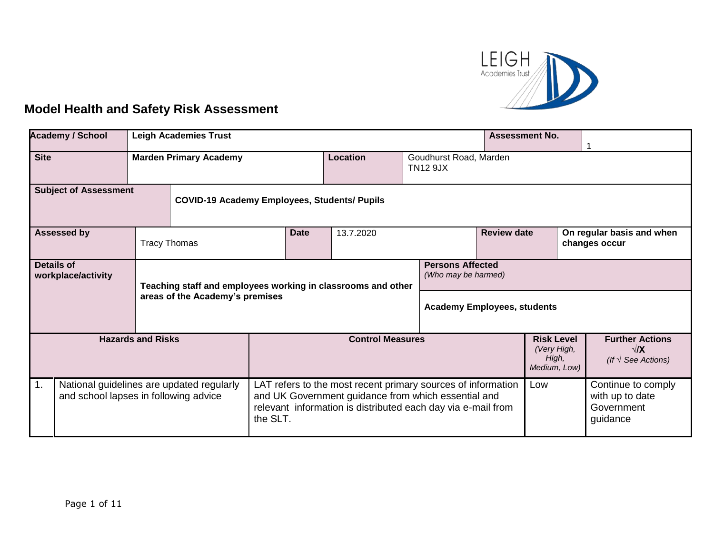

## **Model Health and Safety Risk Assessment**

|                                                                                                      | <b>Academy / School</b> | <b>Leigh Academies Trust</b>                                 |             |                 |                                                                                                                                                                                            | <b>Assessment No.</b>                          |                                                                     |  |                                                                 |  |
|------------------------------------------------------------------------------------------------------|-------------------------|--------------------------------------------------------------|-------------|-----------------|--------------------------------------------------------------------------------------------------------------------------------------------------------------------------------------------|------------------------------------------------|---------------------------------------------------------------------|--|-----------------------------------------------------------------|--|
| <b>Site</b><br><b>Marden Primary Academy</b>                                                         |                         |                                                              |             | <b>Location</b> |                                                                                                                                                                                            | Goudhurst Road, Marden<br><b>TN12 9JX</b>      |                                                                     |  |                                                                 |  |
| <b>Subject of Assessment</b>                                                                         |                         | <b>COVID-19 Academy Employees, Students/ Pupils</b>          |             |                 |                                                                                                                                                                                            |                                                |                                                                     |  |                                                                 |  |
| <b>Assessed by</b><br><b>Tracy Thomas</b>                                                            |                         |                                                              | <b>Date</b> | 13.7.2020       |                                                                                                                                                                                            | <b>Review date</b>                             |                                                                     |  | On regular basis and when<br>changes occur                      |  |
| <b>Details of</b><br>workplace/activity<br>areas of the Academy's premises                           |                         | Teaching staff and employees working in classrooms and other |             |                 |                                                                                                                                                                                            | <b>Persons Affected</b><br>(Who may be harmed) |                                                                     |  |                                                                 |  |
|                                                                                                      |                         |                                                              |             |                 | <b>Academy Employees, students</b>                                                                                                                                                         |                                                |                                                                     |  |                                                                 |  |
| <b>Hazards and Risks</b>                                                                             |                         | <b>Control Measures</b>                                      |             |                 | <b>Risk Level</b><br>(Very High,<br>High,<br>Medium, Low)                                                                                                                                  |                                                | <b>Further Actions</b><br>$\sqrt{X}$<br>(If $\sqrt{ }$ See Actions) |  |                                                                 |  |
| $\mathbf{1}$ .<br>National guidelines are updated regularly<br>and school lapses in following advice |                         | the SLT.                                                     |             |                 | LAT refers to the most recent primary sources of information<br>Low<br>and UK Government guidance from which essential and<br>relevant information is distributed each day via e-mail from |                                                |                                                                     |  | Continue to comply<br>with up to date<br>Government<br>guidance |  |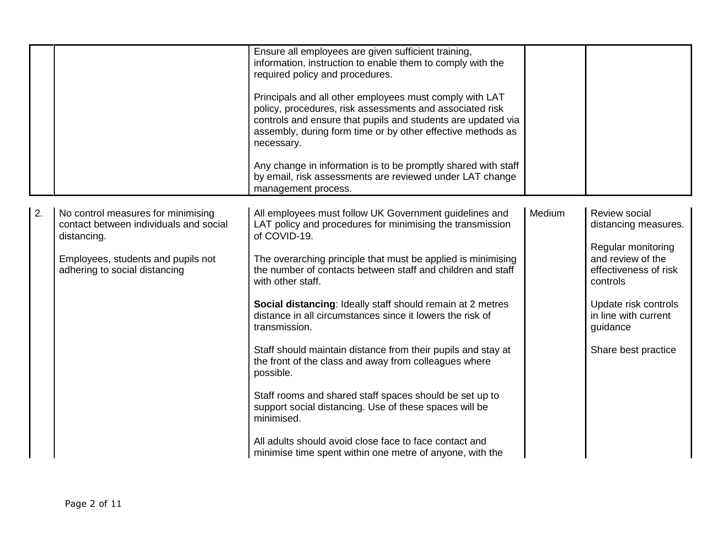|    |                                                                                                                                                                    | Ensure all employees are given sufficient training,<br>information, instruction to enable them to comply with the<br>required policy and procedures.<br>Principals and all other employees must comply with LAT<br>policy, procedures, risk assessments and associated risk<br>controls and ensure that pupils and students are updated via<br>assembly, during form time or by other effective methods as<br>necessary.<br>Any change in information is to be promptly shared with staff<br>by email, risk assessments are reviewed under LAT change<br>management process.                                                                                                                                                                                                                                                       |        |                                                                                                                                                                                                          |
|----|--------------------------------------------------------------------------------------------------------------------------------------------------------------------|------------------------------------------------------------------------------------------------------------------------------------------------------------------------------------------------------------------------------------------------------------------------------------------------------------------------------------------------------------------------------------------------------------------------------------------------------------------------------------------------------------------------------------------------------------------------------------------------------------------------------------------------------------------------------------------------------------------------------------------------------------------------------------------------------------------------------------|--------|----------------------------------------------------------------------------------------------------------------------------------------------------------------------------------------------------------|
| 2. | No control measures for minimising<br>contact between individuals and social<br>distancing.<br>Employees, students and pupils not<br>adhering to social distancing | All employees must follow UK Government guidelines and<br>LAT policy and procedures for minimising the transmission<br>of COVID-19.<br>The overarching principle that must be applied is minimising<br>the number of contacts between staff and children and staff<br>with other staff.<br>Social distancing: Ideally staff should remain at 2 metres<br>distance in all circumstances since it lowers the risk of<br>transmission.<br>Staff should maintain distance from their pupils and stay at<br>the front of the class and away from colleagues where<br>possible.<br>Staff rooms and shared staff spaces should be set up to<br>support social distancing. Use of these spaces will be<br>minimised.<br>All adults should avoid close face to face contact and<br>minimise time spent within one metre of anyone, with the | Medium | Review social<br>distancing measures.<br>Regular monitoring<br>and review of the<br>effectiveness of risk<br>controls<br>Update risk controls<br>in line with current<br>guidance<br>Share best practice |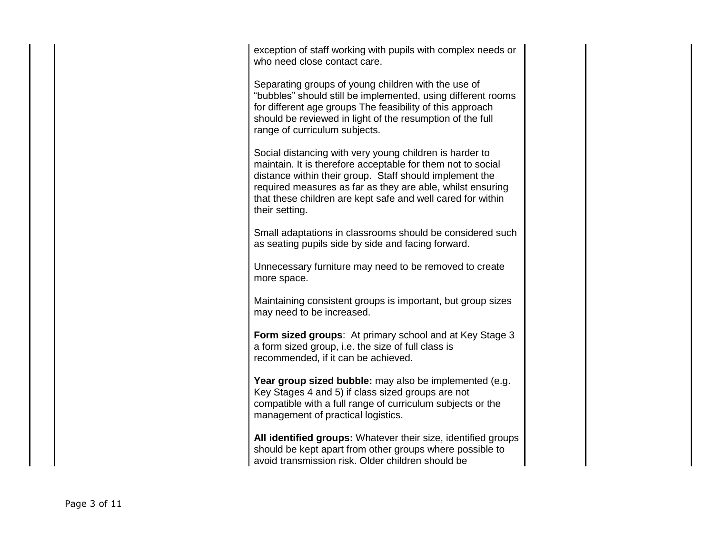exception of staff working with pupils with complex needs or who need close contact care.

Separating groups of young children with the use of "bubbles" should still be implemented, using different rooms for different age groups The feasibility of this approach should be reviewed in light of the resumption of the full range of curriculum subjects.

Social distancing with very young children is harder to maintain. It is therefore acceptable for them not to social distance within their group. Staff should implement the required measures as far as they are able, whilst ensuring that these children are kept safe and well cared for within their setting.

Small adaptations in classrooms should be considered such as seating pupils side by side and facing forward.

Unnecessary furniture may need to be removed to create more space.

Maintaining consistent groups is important, but group sizes may need to be increased.

**Form sized groups**: At primary school and at Key Stage 3 a form sized group, i.e. the size of full class is recommended, if it can be achieved.

Year group sized bubble: may also be implemented (e.g. Key Stages 4 and 5) if class sized groups are not compatible with a full range of curriculum subjects or the management of practical logistics.

**All identified groups:** Whatever their size, identified groups should be kept apart from other groups where possible to avoid transmission risk. Older children should be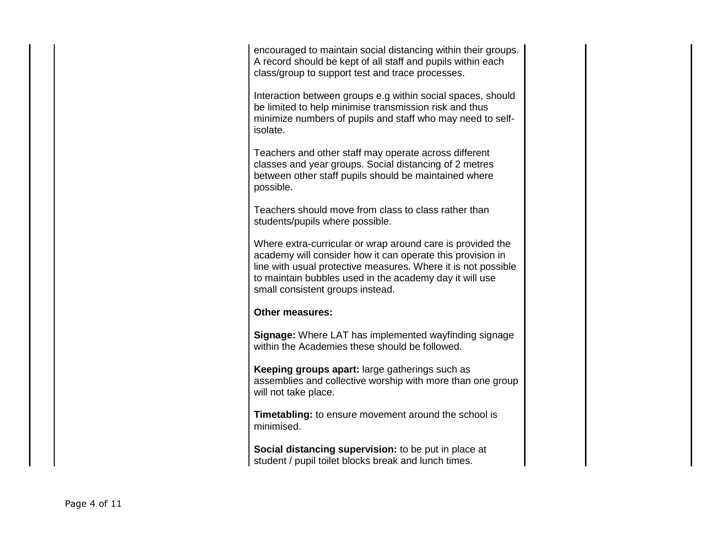encouraged to maintain social distancing within their groups. A record should be kept of all staff and pupils within each class/group to support test and trace processes.

Interaction between groups e.g within social spaces, should be limited to help minimise transmission risk and thus minimize numbers of pupils and staff who may need to selfisolate.

Teachers and other staff may operate across different classes and year groups. Social distancing of 2 metres between other staff pupils should be maintained where possible.

Teachers should move from class to class rather than students/pupils where possible.

Where extra-curricular or wrap around care is provided the academy will consider how it can operate this provision in line with usual protective measures. Where it is not possible to maintain bubbles used in the academy day it will use small consistent groups instead.

## **Other measures:**

**Signage:** Where LAT has implemented wayfinding signage within the Academies these should be followed.

**Keeping groups apart:** large gatherings such as assemblies and collective worship with more than one group will not take place.

**Timetabling:** to ensure movement around the school is minimised.

**Social distancing supervision:** to be put in place at student / pupil toilet blocks break and lunch times.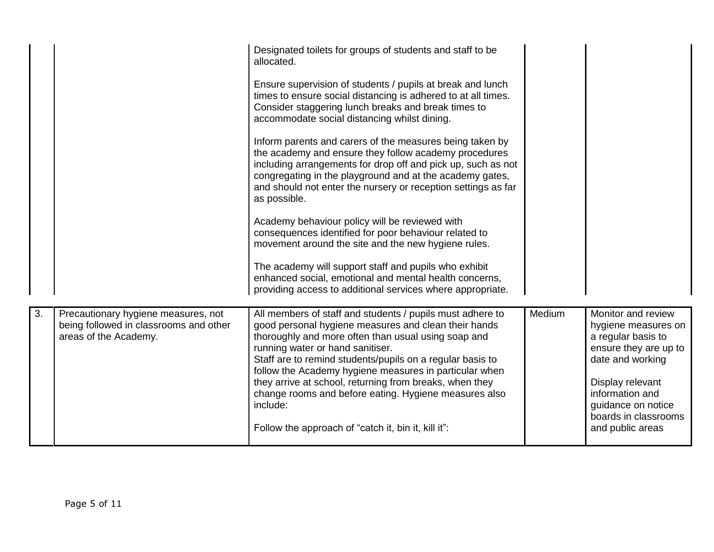|    |                                                                                                        | Designated toilets for groups of students and staff to be<br>allocated.<br>Ensure supervision of students / pupils at break and lunch<br>times to ensure social distancing is adhered to at all times.<br>Consider staggering lunch breaks and break times to<br>accommodate social distancing whilst dining.<br>Inform parents and carers of the measures being taken by<br>the academy and ensure they follow academy procedures<br>including arrangements for drop off and pick up, such as not<br>congregating in the playground and at the academy gates,<br>and should not enter the nursery or reception settings as far<br>as possible.<br>Academy behaviour policy will be reviewed with<br>consequences identified for poor behaviour related to<br>movement around the site and the new hygiene rules.<br>The academy will support staff and pupils who exhibit<br>enhanced social, emotional and mental health concerns,<br>providing access to additional services where appropriate. |        |                                                                                                                                                                                                                       |
|----|--------------------------------------------------------------------------------------------------------|----------------------------------------------------------------------------------------------------------------------------------------------------------------------------------------------------------------------------------------------------------------------------------------------------------------------------------------------------------------------------------------------------------------------------------------------------------------------------------------------------------------------------------------------------------------------------------------------------------------------------------------------------------------------------------------------------------------------------------------------------------------------------------------------------------------------------------------------------------------------------------------------------------------------------------------------------------------------------------------------------|--------|-----------------------------------------------------------------------------------------------------------------------------------------------------------------------------------------------------------------------|
| 3. | Precautionary hygiene measures, not<br>being followed in classrooms and other<br>areas of the Academy. | All members of staff and students / pupils must adhere to<br>good personal hygiene measures and clean their hands<br>thoroughly and more often than usual using soap and<br>running water or hand sanitiser.<br>Staff are to remind students/pupils on a regular basis to<br>follow the Academy hygiene measures in particular when<br>they arrive at school, returning from breaks, when they<br>change rooms and before eating. Hygiene measures also<br>include:<br>Follow the approach of "catch it, bin it, kill it":                                                                                                                                                                                                                                                                                                                                                                                                                                                                         | Medium | Monitor and review<br>hygiene measures on<br>a regular basis to<br>ensure they are up to<br>date and working<br>Display relevant<br>information and<br>guidance on notice<br>boards in classrooms<br>and public areas |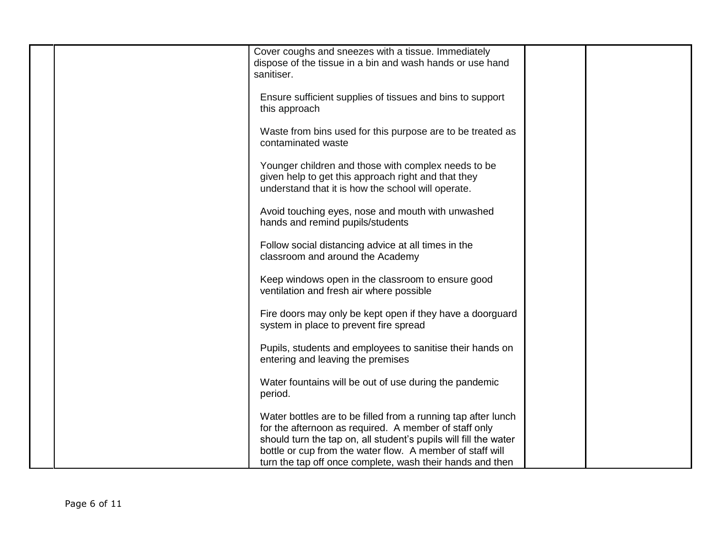| Cover coughs and sneezes with a tissue. Immediately<br>dispose of the tissue in a bin and wash hands or use hand<br>sanitiser.                                                                                                                                                                                       |  |
|----------------------------------------------------------------------------------------------------------------------------------------------------------------------------------------------------------------------------------------------------------------------------------------------------------------------|--|
| Ensure sufficient supplies of tissues and bins to support<br>this approach                                                                                                                                                                                                                                           |  |
| Waste from bins used for this purpose are to be treated as<br>contaminated waste                                                                                                                                                                                                                                     |  |
| Younger children and those with complex needs to be<br>given help to get this approach right and that they<br>understand that it is how the school will operate.                                                                                                                                                     |  |
| Avoid touching eyes, nose and mouth with unwashed<br>hands and remind pupils/students                                                                                                                                                                                                                                |  |
| Follow social distancing advice at all times in the<br>classroom and around the Academy                                                                                                                                                                                                                              |  |
| Keep windows open in the classroom to ensure good<br>ventilation and fresh air where possible                                                                                                                                                                                                                        |  |
| Fire doors may only be kept open if they have a doorguard<br>system in place to prevent fire spread                                                                                                                                                                                                                  |  |
| Pupils, students and employees to sanitise their hands on<br>entering and leaving the premises                                                                                                                                                                                                                       |  |
| Water fountains will be out of use during the pandemic<br>period.                                                                                                                                                                                                                                                    |  |
| Water bottles are to be filled from a running tap after lunch<br>for the afternoon as required. A member of staff only<br>should turn the tap on, all student's pupils will fill the water<br>bottle or cup from the water flow. A member of staff will<br>turn the tap off once complete, wash their hands and then |  |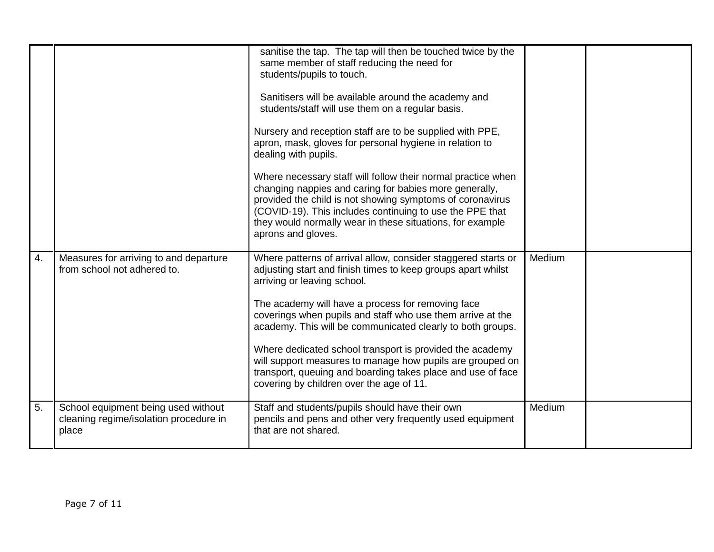|    |                                                                                        | sanitise the tap. The tap will then be touched twice by the<br>same member of staff reducing the need for<br>students/pupils to touch.<br>Sanitisers will be available around the academy and<br>students/staff will use them on a regular basis.<br>Nursery and reception staff are to be supplied with PPE,<br>apron, mask, gloves for personal hygiene in relation to<br>dealing with pupils.<br>Where necessary staff will follow their normal practice when<br>changing nappies and caring for babies more generally,<br>provided the child is not showing symptoms of coronavirus<br>(COVID-19). This includes continuing to use the PPE that<br>they would normally wear in these situations, for example<br>aprons and gloves. |        |  |
|----|----------------------------------------------------------------------------------------|----------------------------------------------------------------------------------------------------------------------------------------------------------------------------------------------------------------------------------------------------------------------------------------------------------------------------------------------------------------------------------------------------------------------------------------------------------------------------------------------------------------------------------------------------------------------------------------------------------------------------------------------------------------------------------------------------------------------------------------|--------|--|
| 4. | Measures for arriving to and departure<br>from school not adhered to.                  | Where patterns of arrival allow, consider staggered starts or<br>adjusting start and finish times to keep groups apart whilst<br>arriving or leaving school.<br>The academy will have a process for removing face<br>coverings when pupils and staff who use them arrive at the<br>academy. This will be communicated clearly to both groups.<br>Where dedicated school transport is provided the academy<br>will support measures to manage how pupils are grouped on<br>transport, queuing and boarding takes place and use of face<br>covering by children over the age of 11.                                                                                                                                                      | Medium |  |
| 5. | School equipment being used without<br>cleaning regime/isolation procedure in<br>place | Staff and students/pupils should have their own<br>pencils and pens and other very frequently used equipment<br>that are not shared.                                                                                                                                                                                                                                                                                                                                                                                                                                                                                                                                                                                                   | Medium |  |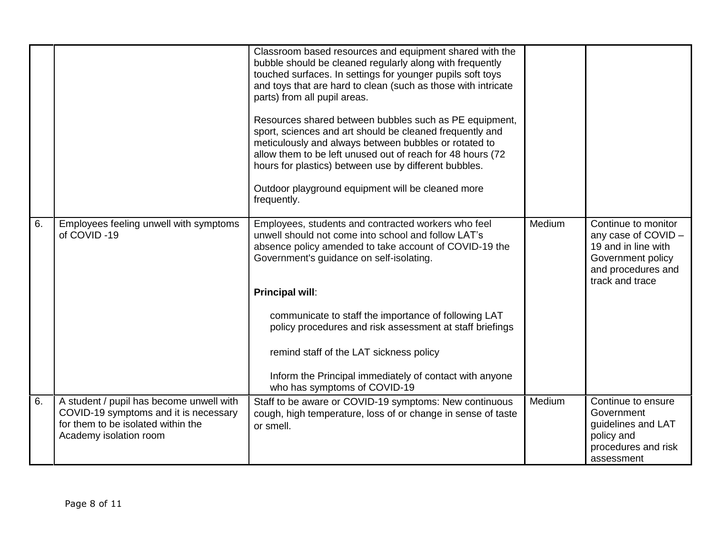|    |                                                                                                                                                   | Classroom based resources and equipment shared with the<br>bubble should be cleaned regularly along with frequently<br>touched surfaces. In settings for younger pupils soft toys<br>and toys that are hard to clean (such as those with intricate<br>parts) from all pupil areas.<br>Resources shared between bubbles such as PE equipment,<br>sport, sciences and art should be cleaned frequently and<br>meticulously and always between bubbles or rotated to<br>allow them to be left unused out of reach for 48 hours (72<br>hours for plastics) between use by different bubbles.<br>Outdoor playground equipment will be cleaned more<br>frequently. |        |                                                                                                                                 |
|----|---------------------------------------------------------------------------------------------------------------------------------------------------|--------------------------------------------------------------------------------------------------------------------------------------------------------------------------------------------------------------------------------------------------------------------------------------------------------------------------------------------------------------------------------------------------------------------------------------------------------------------------------------------------------------------------------------------------------------------------------------------------------------------------------------------------------------|--------|---------------------------------------------------------------------------------------------------------------------------------|
| 6. | Employees feeling unwell with symptoms<br>of COVID-19                                                                                             | Employees, students and contracted workers who feel<br>unwell should not come into school and follow LAT's<br>absence policy amended to take account of COVID-19 the<br>Government's guidance on self-isolating.<br>Principal will:<br>communicate to staff the importance of following LAT<br>policy procedures and risk assessment at staff briefings<br>remind staff of the LAT sickness policy                                                                                                                                                                                                                                                           | Medium | Continue to monitor<br>any case of COVID -<br>19 and in line with<br>Government policy<br>and procedures and<br>track and trace |
|    |                                                                                                                                                   | Inform the Principal immediately of contact with anyone<br>who has symptoms of COVID-19                                                                                                                                                                                                                                                                                                                                                                                                                                                                                                                                                                      |        |                                                                                                                                 |
| 6. | A student / pupil has become unwell with<br>COVID-19 symptoms and it is necessary<br>for them to be isolated within the<br>Academy isolation room | Staff to be aware or COVID-19 symptoms: New continuous<br>cough, high temperature, loss of or change in sense of taste<br>or smell.                                                                                                                                                                                                                                                                                                                                                                                                                                                                                                                          | Medium | Continue to ensure<br>Government<br>guidelines and LAT<br>policy and<br>procedures and risk<br>assessment                       |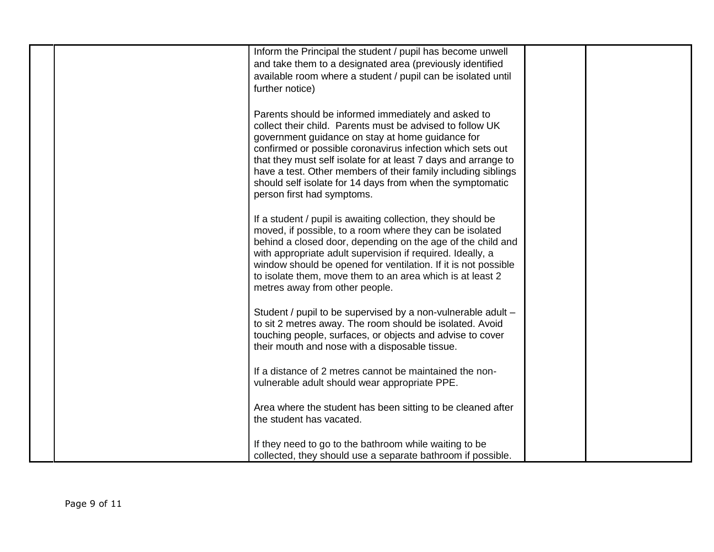| Inform the Principal the student / pupil has become unwell<br>and take them to a designated area (previously identified                                                                                                                                                                                                                                                                                                                                          |  |
|------------------------------------------------------------------------------------------------------------------------------------------------------------------------------------------------------------------------------------------------------------------------------------------------------------------------------------------------------------------------------------------------------------------------------------------------------------------|--|
| available room where a student / pupil can be isolated until<br>further notice)                                                                                                                                                                                                                                                                                                                                                                                  |  |
| Parents should be informed immediately and asked to<br>collect their child. Parents must be advised to follow UK<br>government guidance on stay at home guidance for<br>confirmed or possible coronavirus infection which sets out<br>that they must self isolate for at least 7 days and arrange to<br>have a test. Other members of their family including siblings<br>should self isolate for 14 days from when the symptomatic<br>person first had symptoms. |  |
| If a student / pupil is awaiting collection, they should be<br>moved, if possible, to a room where they can be isolated<br>behind a closed door, depending on the age of the child and<br>with appropriate adult supervision if required. Ideally, a<br>window should be opened for ventilation. If it is not possible<br>to isolate them, move them to an area which is at least 2<br>metres away from other people.                                            |  |
| Student / pupil to be supervised by a non-vulnerable adult -<br>to sit 2 metres away. The room should be isolated. Avoid<br>touching people, surfaces, or objects and advise to cover<br>their mouth and nose with a disposable tissue.                                                                                                                                                                                                                          |  |
| If a distance of 2 metres cannot be maintained the non-<br>vulnerable adult should wear appropriate PPE.                                                                                                                                                                                                                                                                                                                                                         |  |
| Area where the student has been sitting to be cleaned after<br>the student has vacated.                                                                                                                                                                                                                                                                                                                                                                          |  |
| If they need to go to the bathroom while waiting to be<br>collected, they should use a separate bathroom if possible.                                                                                                                                                                                                                                                                                                                                            |  |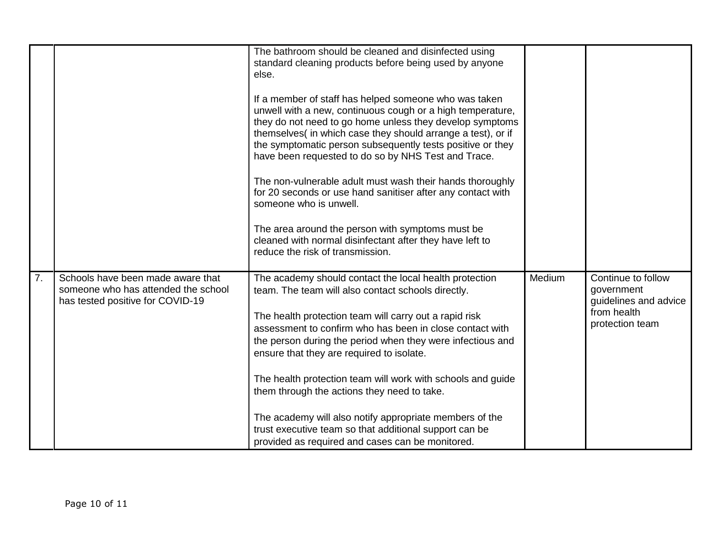|    |                                                                                                              | The bathroom should be cleaned and disinfected using<br>standard cleaning products before being used by anyone<br>else.                                                                                                                                                                                                                                             |        |                                                                                             |
|----|--------------------------------------------------------------------------------------------------------------|---------------------------------------------------------------------------------------------------------------------------------------------------------------------------------------------------------------------------------------------------------------------------------------------------------------------------------------------------------------------|--------|---------------------------------------------------------------------------------------------|
|    |                                                                                                              | If a member of staff has helped someone who was taken<br>unwell with a new, continuous cough or a high temperature,<br>they do not need to go home unless they develop symptoms<br>themselves(in which case they should arrange a test), or if<br>the symptomatic person subsequently tests positive or they<br>have been requested to do so by NHS Test and Trace. |        |                                                                                             |
|    |                                                                                                              | The non-vulnerable adult must wash their hands thoroughly<br>for 20 seconds or use hand sanitiser after any contact with<br>someone who is unwell.                                                                                                                                                                                                                  |        |                                                                                             |
|    |                                                                                                              | The area around the person with symptoms must be<br>cleaned with normal disinfectant after they have left to<br>reduce the risk of transmission.                                                                                                                                                                                                                    |        |                                                                                             |
| 7. | Schools have been made aware that<br>someone who has attended the school<br>has tested positive for COVID-19 | The academy should contact the local health protection<br>team. The team will also contact schools directly.<br>The health protection team will carry out a rapid risk<br>assessment to confirm who has been in close contact with<br>the person during the period when they were infectious and<br>ensure that they are required to isolate.                       | Medium | Continue to follow<br>government<br>guidelines and advice<br>from health<br>protection team |
|    |                                                                                                              | The health protection team will work with schools and guide<br>them through the actions they need to take.                                                                                                                                                                                                                                                          |        |                                                                                             |
|    |                                                                                                              | The academy will also notify appropriate members of the<br>trust executive team so that additional support can be<br>provided as required and cases can be monitored.                                                                                                                                                                                               |        |                                                                                             |